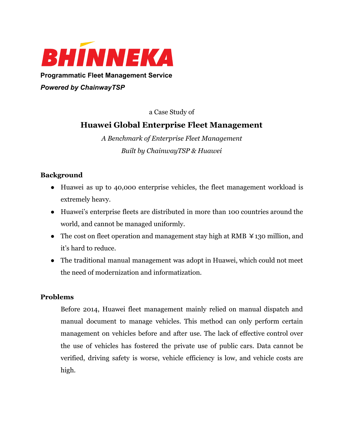

**Programmatic Fleet Management Service**

*Powered by ChainwayTSP*

a Case Study of

# **Huawei Global Enterprise Fleet Management**

*A Benchmark of Enterprise Fleet Management Built by ChainwayTSP & Huawei*

# **Background**

- Huawei as up to 40,000 enterprise vehicles, the fleet management workload is extremely heavy.
- Huawei's enterprise fleets are distributed in more than 100 countries around the world, and cannot be managed uniformly.
- The cost on fleet operation and management stay high at RMB \times 130 million, and it's hard to reduce.
- The traditional manual management was adopt in Huawei, which could not meet the need of modernization and informatization.

# **Problems**

Before 2014, Huawei fleet management mainly relied on manual dispatch and manual document to manage vehicles. This method can only perform certain management on vehicles before and after use. The lack of effective control over the use of vehicles has fostered the private use of public cars. Data cannot be verified, driving safety is worse, vehicle efficiency is low, and vehicle costs are high.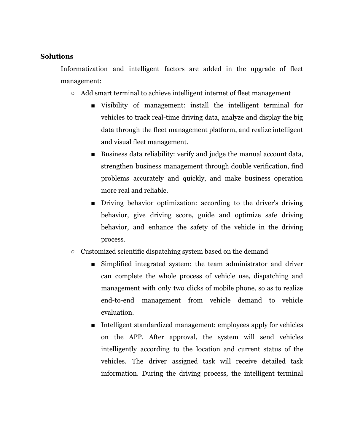## **Solutions**

Informatization and intelligent factors are added in the upgrade of fleet management:

- Add smart terminal to achieve intelligent internet of fleet management
	- Visibility of management: install the intelligent terminal for vehicles to track real-time driving data, analyze and display the big data through the fleet management platform, and realize intelligent and visual fleet management.
	- Business data reliability: verify and judge the manual account data, strengthen business management through double verification, find problems accurately and quickly, and make business operation more real and reliable.
	- Driving behavior optimization: according to the driver's driving behavior, give driving score, guide and optimize safe driving behavior, and enhance the safety of the vehicle in the driving process.
- Customized scientific dispatching system based on the demand
	- Simplified integrated system: the team administrator and driver can complete the whole process of vehicle use, dispatching and management with only two clicks of mobile phone, so as to realize end-to-end management from vehicle demand to vehicle evaluation.
	- Intelligent standardized management: employees apply for vehicles on the APP. After approval, the system will send vehicles intelligently according to the location and current status of the vehicles. The driver assigned task will receive detailed task information. During the driving process, the intelligent terminal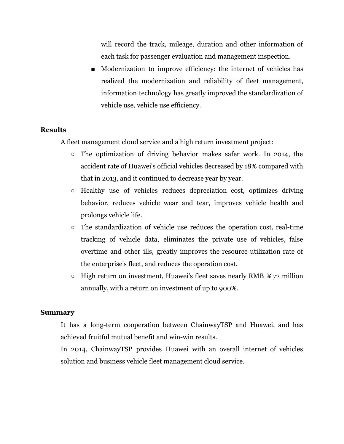will record the track, mileage, duration and other information of each task for passenger evaluation and management inspection.

■ Modernization to improve efficiency: the internet of vehicles has realized the modernization and reliability of fleet management, information technology has greatly improved the standardization of vehicle use, vehicle use efficiency.

### **Results**

A fleet management cloud service and a high return investment project:

- The optimization of driving behavior makes safer work. In 2014, the accident rate of Huawei's official vehicles decreased by 18% compared with that in 2013, and it continued to decrease year by year.
- Healthy use of vehicles reduces depreciation cost, optimizes driving behavior, reduces vehicle wear and tear, improves vehicle health and prolongs vehicle life.
- The standardization of vehicle use reduces the operation cost, real-time tracking of vehicle data, eliminates the private use of vehicles, false overtime and other ills, greatly improves the resource utilization rate of the enterprise's fleet, and reduces the operation cost.
- $\circ$  High return on investment, Huawei's fleet saves nearly RMB  $\angle$  72 million annually, with a return on investment of up to 900%.

#### **Summary**

It has a long-term cooperation between ChainwayTSP and Huawei, and has achieved fruitful mutual benefit and win-win results.

In 2014, ChainwayTSP provides Huawei with an overall internet of vehicles solution and business vehicle fleet management cloud service.